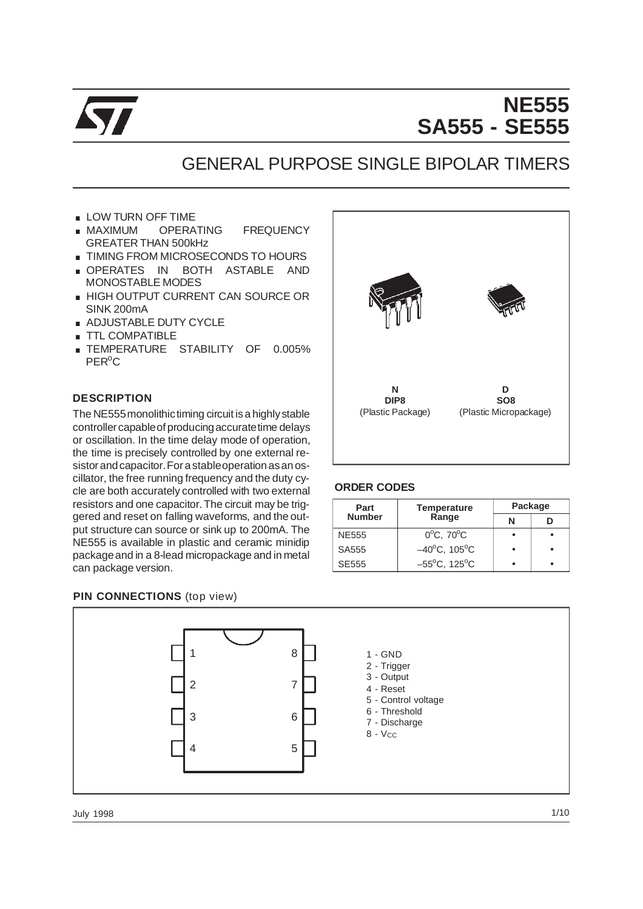

# **NE555 SA555 - SE555**

## GENERAL PURPOSE SINGLE BIPOLAR TIMERS

- LOW TURN OFF TIME
- LOW TURN OFF TIME<br>MAXIMUM OPERATING FREQUENCY GREATER THAN 500kHz ■ MAXIMUM OPERATING FREQUENCY<br>GREATER THAN 500kHz<br>■ TIMING FROM MICROSECONDS TO HOURS
- 
- GREATER THAN 500KHZ<br>
I TIMING FROM MICROSECONDS TO HOURS<br>
I OPERATES IN BOTH ASTABLE AND MONOSTABLE MODES ■ OPERATES IN BOTH ASTABLE AND<br>MONOSTABLE MODES<br>■ HIGH OUTPUT CURRENT CAN SOURCE OR
- SINK 200mA
- **ADJUSTABLE DUTY CYCLE**
- **TTL COMPATIBLE**
- **EXECUTE:** TEMPERATURE STABILITY OF 0.005% PER<sup>o</sup>C

#### **DESCRIPTION**

The NE555 monolithic timing circuit is a highly stable controller capable of producing accurate time delays or oscillation. In the time delay mode of operation, the time is precisely controlled by one external resistorandcapacitor.For astableoperationasanoscillator, the free running frequency and the duty cycle are both accurately controlled with two external resistors and one capacitor. The circuit may be triggered and reset on falling waveforms, and the output structure can source or sink up to 200mA. The NE555 is available in plastic and ceramic minidip packageand in a 8-lead micropackage and in metal can package version.



#### **ORDER CODES**

| Part          | <b>Temperature</b>                | Package    |  |  |
|---------------|-----------------------------------|------------|--|--|
| <b>Number</b> |                                   | Range<br>N |  |  |
| NE555         | $0^{\circ}$ C, 70 $^{\circ}$ C    |            |  |  |
| SA555         | $-40^{\circ}$ C, 105 $^{\circ}$ C |            |  |  |
| SE555         | $-55^{\circ}$ C, 125 $^{\circ}$ C |            |  |  |

## **PIN CONNECTIONS** (top view)



July 1998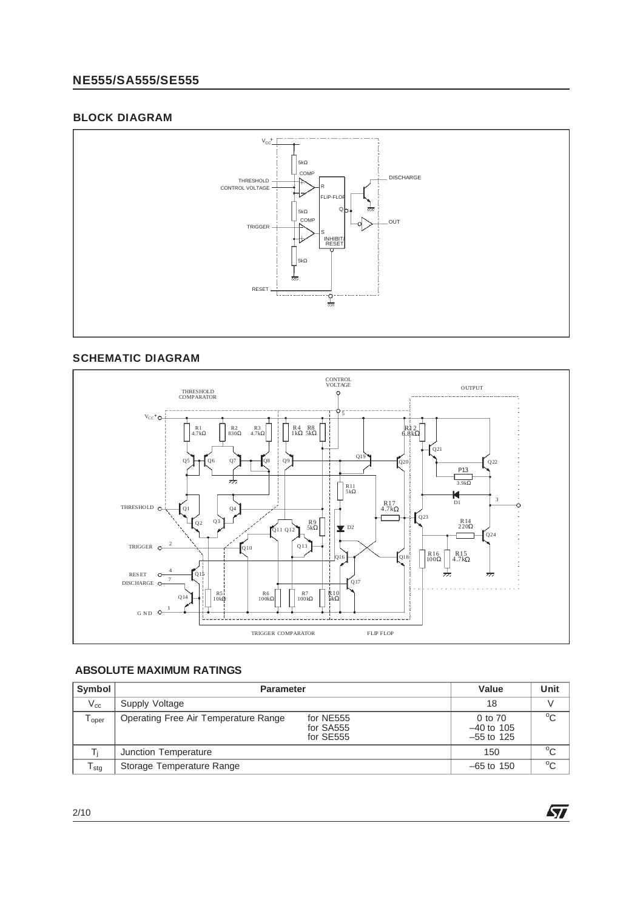## **NE555/SA555/SE555**

## **BLOCK DIAGRAM**



## **SCHEMATIC DIAGRAM**



## **ABSOLUTE MAXIMUM RATINGS**

| Symbol           | <b>Parameter</b>                                                            | Value                                   | Unit         |
|------------------|-----------------------------------------------------------------------------|-----------------------------------------|--------------|
| $V_{cc}$         | Supply Voltage                                                              | 18                                      | V            |
| Toper            | Operating Free Air Temperature Range<br>for NE555<br>for SA555<br>for SE555 | 0 to 70<br>$-40$ to 105<br>$-55$ to 125 | $^{\circ}$ C |
|                  | Junction Temperature                                                        | 150                                     | $^{\circ}$ C |
| l <sub>Stq</sub> | Storage Temperature Range                                                   | $-65$ to 150                            | $^{\circ}$ C |

**ST**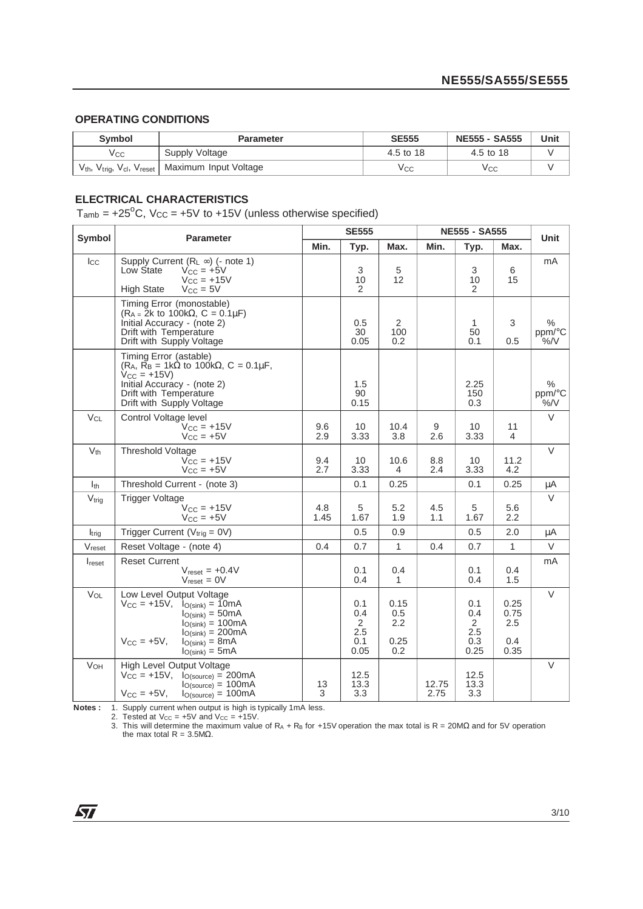## **OPERATING CONDITIONS**

| Symbol   | <b>Parameter</b>                                                                 | <b>SE555</b> | <b>NE555 - SA555</b> | Unit |
|----------|----------------------------------------------------------------------------------|--------------|----------------------|------|
| Vcc      | Supply Voltage                                                                   | 4.5 to 18    | 4.5 to 18            |      |
| $V_{th}$ | $V_{\text{trig}}$ , $V_{\text{cl}}$ , $V_{\text{reset}}$   Maximum Input Voltage | Vcc          | ∨сс                  |      |

## **ELECTRICAL CHARACTERISTICS**

 $T_{amb}$  = +25<sup>o</sup>C, V<sub>CC</sub> = +5V to +15V (unless otherwise specified)

| Symbol       | <b>Parameter</b>                                                                                                                                                                                            | <b>SE555</b> |                                                    |                                   | <b>NE555 - SA555</b> |                                                    |                                    | Unit                      |
|--------------|-------------------------------------------------------------------------------------------------------------------------------------------------------------------------------------------------------------|--------------|----------------------------------------------------|-----------------------------------|----------------------|----------------------------------------------------|------------------------------------|---------------------------|
|              |                                                                                                                                                                                                             | Min.         | Typ.                                               | Max.                              | Min.                 | Typ.                                               | Max.                               |                           |
| $I_{\rm CC}$ | Supply Current $(R_L \infty)$ (- note 1)<br>Low State<br>$V_{CC}$ = +5V<br>$V_{CC} = +15V$<br><b>High State</b><br>$V_{CC} = 5V$                                                                            |              | 3<br>10<br>2                                       | 5<br>12                           |                      | 3<br>10<br>2                                       | 6<br>15                            | mA                        |
|              | Timing Error (monostable)<br>$(R_A = 2k \text{ to } 100k\Omega, C = 0.1 \mu F)$<br>Initial Accuracy - (note 2)<br>Drift with Temperature<br>Drift with Supply Voltage                                       |              | 0.5<br>30<br>0.05                                  | 2<br>100<br>0.2                   |                      | 1<br>50<br>0.1                                     | 3<br>0.5                           | $\%$<br>ppm/°C<br>$\%$ /V |
|              | Timing Error (astable)<br>$(R_A, \tilde{R_B} = 1k\Omega)$ to 100k $\Omega$ , C = 0.1µF,<br>$V_{CC} = +15V$<br>Initial Accuracy - (note 2)<br>Drift with Temperature<br>Drift with Supply Voltage            |              | 1.5<br>90<br>0.15                                  |                                   |                      | 2.25<br>150<br>0.3                                 |                                    | $\%$<br>ppm/°C<br>$\%$ /V |
| $V_{CL}$     | Control Voltage level<br>$V_{CC}$ = $+15V$<br>$V_{CC}$ = +5V                                                                                                                                                | 9.6<br>2.9   | 10<br>3.33                                         | 10.4<br>3.8                       | 9<br>2.6             | 10<br>3.33                                         | 11<br>4                            | V                         |
| $V_{th}$     | <b>Threshold Voltage</b><br>$V_{CC} = +15V$<br>$Vcc = +5V$                                                                                                                                                  | 9.4<br>2.7   | 10<br>3.33                                         | 10.6<br>4                         | 8.8<br>2.4           | 10<br>3.33                                         | 11.2<br>4.2                        | $\vee$                    |
| $I_{th}$     | Threshold Current - (note 3)                                                                                                                                                                                |              | 0.1                                                | 0.25                              |                      | 0.1                                                | 0.25                               | μA                        |
| $V_{trig}$   | <b>Trigger Voltage</b><br>$V_{CC}$ = +15V<br>$V_{CC}$ = +5V                                                                                                                                                 | 4.8<br>1.45  | 5<br>1.67                                          | 5.2<br>1.9                        | 4.5<br>1.1           | 5<br>1.67                                          | 5.6<br>2.2                         | $\vee$                    |
| $I_{trig}$   | Trigger Current ( $V_{trig} = 0V$ )                                                                                                                                                                         |              | 0.5                                                | 0.9                               |                      | 0.5                                                | 2.0                                | μA                        |
| Vreset       | Reset Voltage - (note 4)                                                                                                                                                                                    | 0.4          | 0.7                                                | $\mathbf{1}$                      | 0.4                  | 0.7                                                | $\mathbf{1}$                       | V                         |
| Ireset       | <b>Reset Current</b><br>$V_{reset} = +0.4V$<br>$V_{reset} = 0V$                                                                                                                                             |              | 0.1<br>0.4                                         | 0.4<br>1                          |                      | 0.1<br>0.4                                         | 0.4<br>1.5                         | mA                        |
| VOL          | Low Level Output Voltage<br>$V_{CC} = +15V$ , $I_{O(sink)} = 10mA$<br>$I_{O(sink)} = 50mA$<br>$I_{O(sink)} = 100mA$<br>$IO(sink) = 200mA$<br>$V_{CC} = +5V$ ,<br>$I_{O(sink)} = 8mA$<br>$I_{O(sink)} = 5mA$ |              | 0.1<br>0.4<br>$\overline{2}$<br>2.5<br>0.1<br>0.05 | 0.15<br>0.5<br>2.2<br>0.25<br>0.2 |                      | 0.1<br>0.4<br>$\overline{2}$<br>2.5<br>0.3<br>0.25 | 0.25<br>0.75<br>2.5<br>0.4<br>0.35 | $\vee$                    |
| VOH          | High Level Output Voltage<br>$V_{CC} = +15V$ , $I_{O(source)} = 200mA$<br>$IO(source) = 100mA$<br>$V_{CC} = +5V,$<br>$IO(source) = 100mA$                                                                   | 13<br>3      | 12.5<br>13.3<br>3.3                                |                                   | 12.75<br>2.75        | 12.5<br>13.3<br>3.3                                |                                    | $\vee$                    |

**Notes :** 1. Supply current when output is high is typically 1mA less.<br>2. Tested at V<sub>CC</sub> = +5V and V<sub>CC</sub> = +15V.

3. This will determine the maximum value of R<sub>A</sub> + R<sub>B</sub> for +15V operation the max total is R = 20MΩ and for 5V operation the max total R = 3.5MΩ.

 $\sqrt{27}$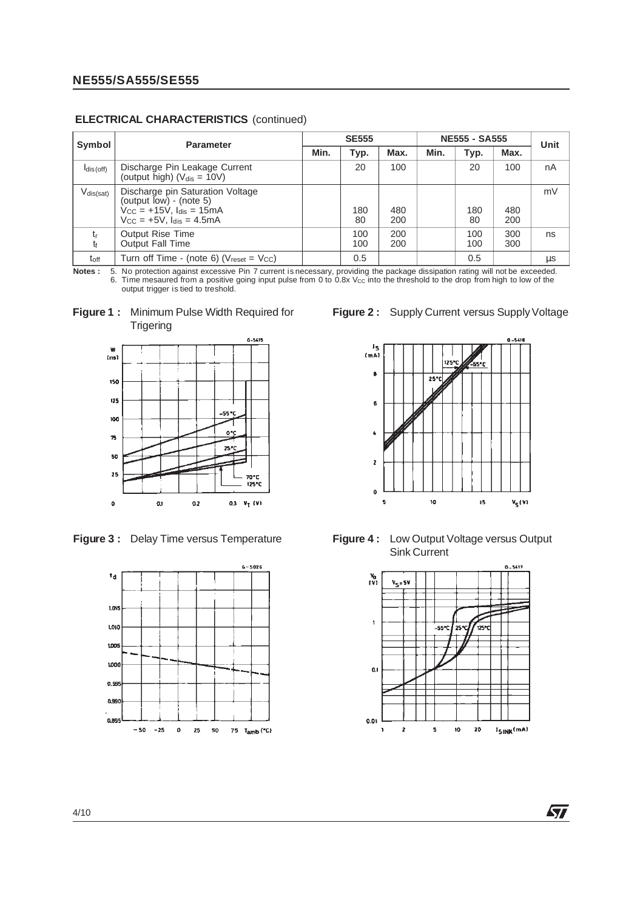| Symbol         | <b>Parameter</b>                                                                                                                                                                             | <b>SE555</b> |            |            | <b>NE555 - SA555</b> |            |            | Unit |
|----------------|----------------------------------------------------------------------------------------------------------------------------------------------------------------------------------------------|--------------|------------|------------|----------------------|------------|------------|------|
|                |                                                                                                                                                                                              | Min.         | Typ.       | Max.       | Min.                 | Typ.       | Max.       |      |
| $I_{dis(off)}$ | Discharge Pin Leakage Current<br>(output high) $(V_{dis} = 10V)$                                                                                                                             |              | 20         | 100        |                      | 20         | 100        | nA   |
| $V_{dis(sat)}$ | Discharge pin Saturation Voltage<br>(output $\overline{low}$ ) - (note 5)<br>$\dot{V}_{\text{CC}} = +15\dot{V}$ , $I_{\text{dis}} = 15\dot{m}A$<br>$V_{\rm CC}$ = +5V, $I_{\rm dis}$ = 4.5mA |              | 180<br>80  | 480<br>200 |                      | 180<br>80  | 480<br>200 | mV   |
| $t_{r}$<br>t   | <b>Output Rise Time</b><br><b>Output Fall Time</b>                                                                                                                                           |              | 100<br>100 | 200<br>200 |                      | 100<br>100 | 300<br>300 | ns   |
| $t_{\rm off}$  | Turn off Time - (note 6) ( $V_{reset} = V_{CC}$ )                                                                                                                                            |              | 0.5        |            |                      | 0.5        |            | μs   |

#### **ELECTRICAL CHARACTERISTICS** (continued)

**Notes :** 5. No protection against excessive Pin 7 current is necessary, providing the package dissipation rating will not be exceeded. 6. Time mesaured from a positive going input pulse from 0 to 0.8x V<sub>CC</sub> into the threshold to the drop from high to low of the output trigger is tied to treshold.







**Figure 2:** Supply Current versus Supply Voltage



**Figure 3 :** Delay Time versus Temperature **Figure 4 :** Low Output Voltage versus Output Sink Current



勾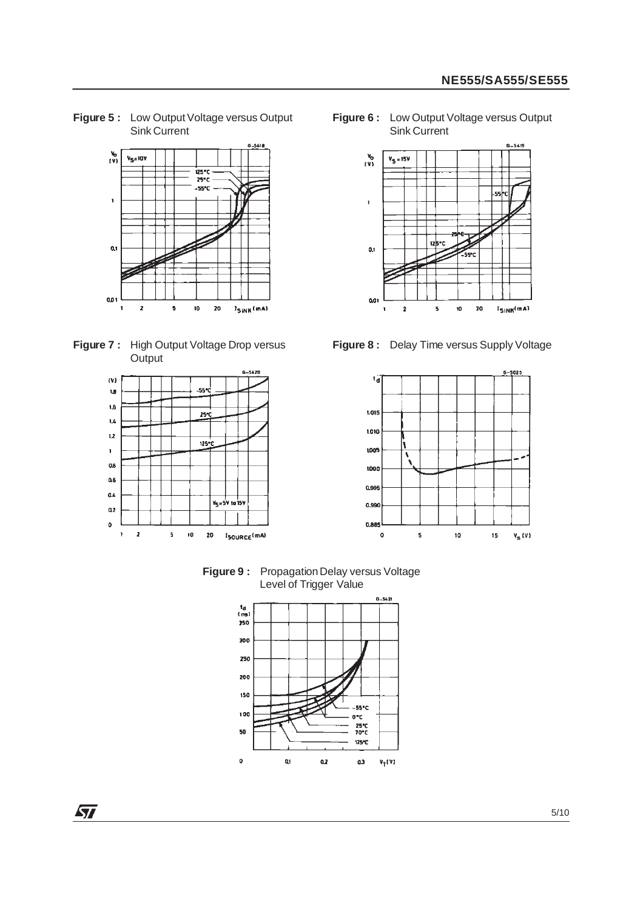**Figure 5 :** Low Output Voltage versus Output Sink Current



**Figure 7 :** High Output Voltage Drop versus **Output** 



 $\sqrt{27}$ 

**Figure 6 :** Low Output Voltage versus Output Sink Current



**Figure 8 :** Delay Time versus Supply Voltage



**Figure 9:** Propagation Delay versus Voltage Level of Trigger Value

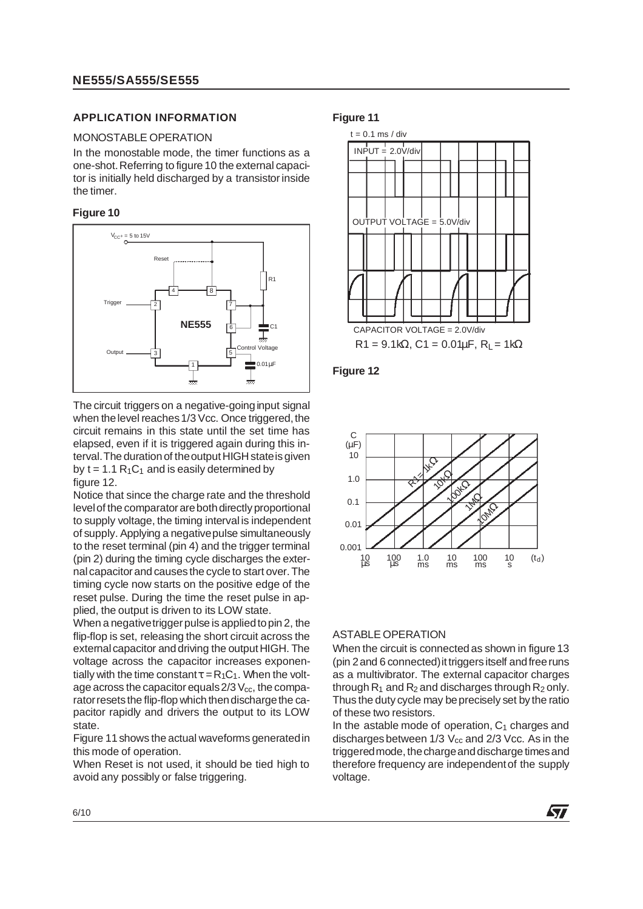#### **APPLICATION INFORMATION**

#### MONOSTABLE OPERATION

In the monostable mode, the timer functions as a one-shot.Referring to figure 10 the external capacitor is initially held discharged by a transistor inside the timer.

#### **Figure 10**



The circuit triggers on a negative-going input signal when the level reaches 1/3 Vcc. Once triggered, the circuit remains in this state until the set time has elapsed, even if it is triggered again during this interval. The duration of the output HIGH state is given by  $t = 1.1 R<sub>1</sub>C<sub>1</sub>$  and is easily determined by figure 12.

Notice that since the charge rate and the threshold levelof the comparatorarebothdirectly proportional to supply voltage, the timing intervalis independent of supply. Applying a negativepulse simultaneously to the reset terminal (pin 4) and the trigger terminal (pin 2) during the timing cycle discharges the externalcapacitorand causes the cycle to start over.The timing cycle now starts on the positive edge of the reset pulse. During the time the reset pulse in applied, the output is driven to its LOW state.

When a negative trigger pulse is applied to pin 2, the flip-flop is set, releasing the short circuit across the external capacitor and driving the output HIGH. The voltage across the capacitor increases exponentially with the time constant  $\tau = R_1C_1$ . When the voltage across the capacitor equals  $2/3$  V<sub>cc</sub>, the comparator resets the flip-flop which then discharge the capacitor rapidly and drivers the output to its LOW state.

Figure 11 shows the actual waveforms generated in this mode of operation.

When Reset is not used, it should be tied high to avoid any possibly or false triggering.

#### **Figure 11**







#### ASTABLE OPERATION

When the circuit is connected as shown in figure 13 (pin 2 and 6 connected) it triggers itself and free runs as a multivibrator. The external capacitor charges through  $R_1$  and  $R_2$  and discharges through  $R_2$  only. Thus the duty cycle may beprecisely set by the ratio of these two resistors.

In the astable mode of operation,  $C_1$  charges and discharges between  $1/3$  V<sub>cc</sub> and  $2/3$  Vcc. As in the triggeredmode, thechargeanddischarge timesand therefore frequency are independentof the supply voltage.

*ky*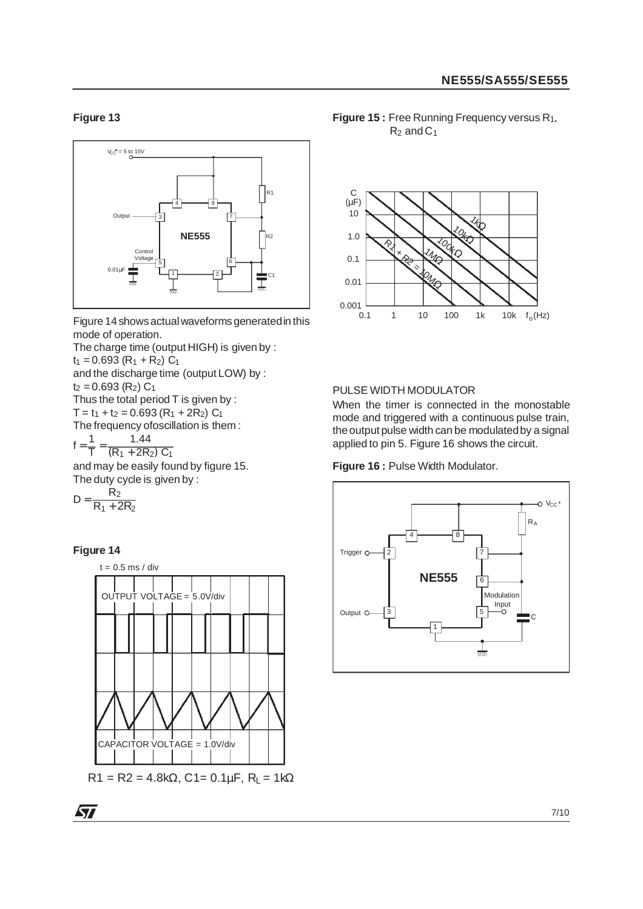### **Figure 13**



Figure 14showsactualwaveforms generatedin this mode of operation.

The charge time (output HIGH) is given by :  $t_1 = 0.693 (R_1 + R_2) C_1$ and the discharge time (output LOW) by :  $t_2 = 0.693$  (R<sub>2</sub>)  $C_1$ Thus the total period T is given by :  $T = t_1 + t_2 = 0.693 (R_1 + 2R_2) C_1$ The frequency ofoscillation is them :  $f = \frac{1}{T}$  $\frac{1}{T} = \frac{1.44}{(R_1 + 2R_2) C_1}$ 

and may be easily found by figure 15. The duty cycle is given by :

$$
D=\frac{R_2}{R_1+2R_2}
$$

#### **Figure 14**



**Figure 15 : Free Running Frequency versus R<sub>1</sub>,**  $R_2$  and  $C_1$ 



#### PULSE WIDTH MODULATOR

When the timer is connected in the monostable mode and triggered with a continuous pulse train, the output pulse width can be modulatedby a signal applied to pin 5. Figure 16 shows the circuit.

**Figure 16 :** Pulse Width Modulator.

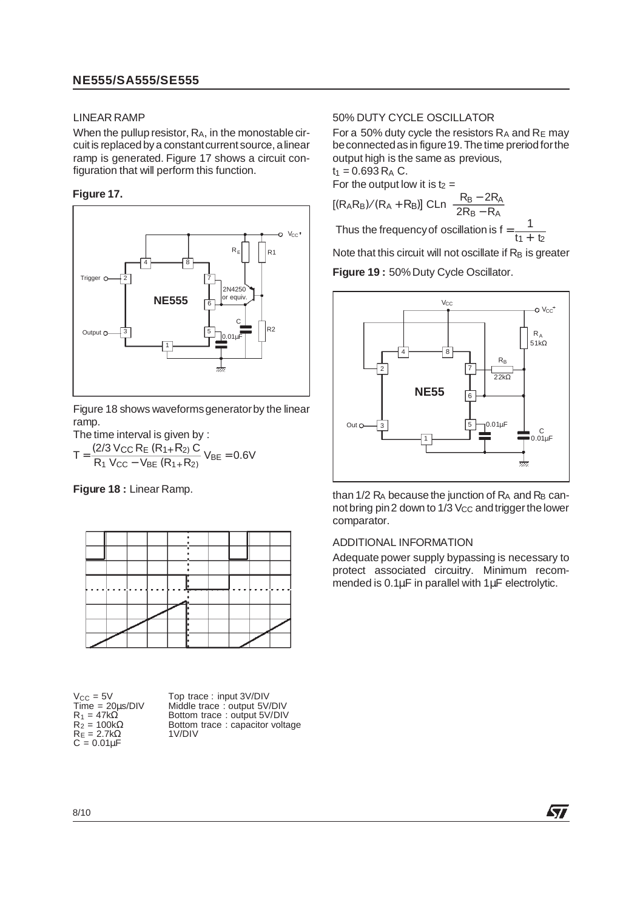## **NE555/SA555/SE555**

#### LINEAR RAMP

When the pullup resistor, RA, in the monostable circuit is replaced by a constant current source, a linear ramp is generated. Figure 17 shows a circuit configuration that will perform this function.

#### **Figure 17.**



Figure 18 shows waveforms generator by the linear ramp.

The time interval is given by :  $T = \frac{(2/3 \text{ V_{CC}} \text{R}_{E} (R_{1+} R_{2}) \text{ C}}{R_{1} \text{ V_{CC}} - \text{V_{BE}} (R_{1+} R_{2})} \text{ V_{BE}} = 0.6 \text{V}$ 

**Figure 18 :** Linear Ramp.



 $R_E = 2.7k\Omega$  1V/DIV  $C = 0.01 \mu F$ 

V<sub>CC</sub> = 5V Top trace : input 3V/DIV<br>Time = 20us/DIV Middle trace : output 5V/  $Time = 20 \mu s/DIV$  Middle trace : output 5V/DIV<br> $R_1 = 47 k\Omega$  Bottom trace : output 5V/DIV  $R_1 = 47k\Omega$  Bottom trace : output 5V/DIV<br>  $R_2 = 100k\Omega$  Bottom trace : capacitor volta Bottom trace : capacitor voltage<br>1V/DIV

#### 50% DUTY CYCLE OSCILLATOR

For a 50% duty cycle the resistors  $R_A$  and  $R_E$  may be connected as in figure 19. The time preriod for the output high is the same as previous,  $t_1 = 0.693 R_A C$ .

For the output low it is  $t_2 =$ 

$$
[(R_AB_B)/(R_A + R_B)] \text{ CLn} \left[ \frac{R_B - 2R_A}{2R_B - R_A} \right]
$$
  
Thus the frequency of oscillation is f =  $\frac{1}{2}$ 

I hus the frequency of oscillation is f  $\frac{1}{11 + 12}$ 

Note that this circuit will not oscillate if  $R_B$  is greater

Figure 19: 50% Duty Cycle Oscillator.



than  $1/2$  R<sub>A</sub> because the junction of R<sub>A</sub> and R<sub>B</sub> cannot bring pin 2 down to  $1/3$  V<sub>CC</sub> and trigger the lower comparator.

#### ADDITIONAL INFORMATION

Adequate power supply bypassing is necessary to protect associated circuitry. Minimum recommended is 0.1µF in parallel with 1µF electrolytic.

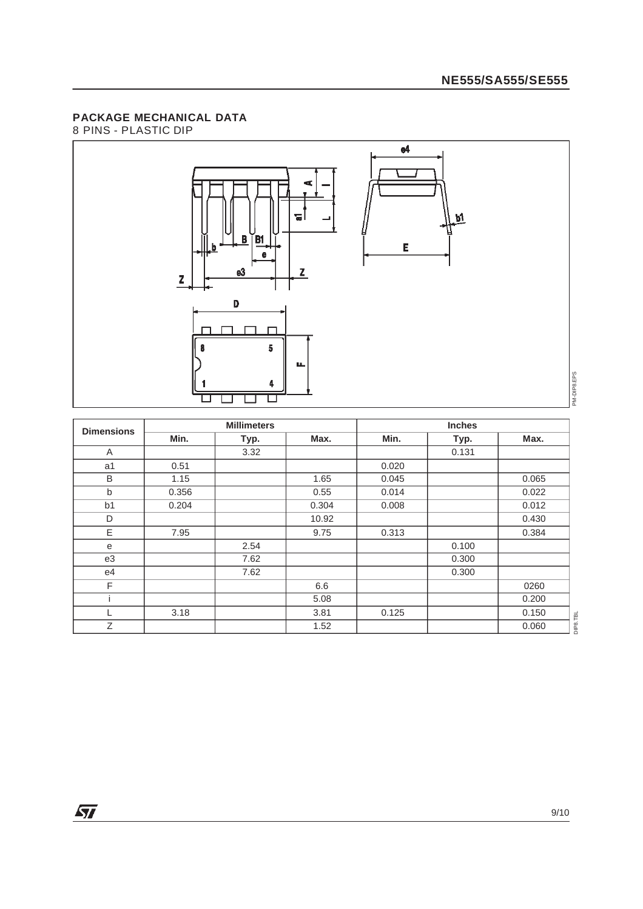## **PACKAGE MECHANICAL DATA**

8 PINS - PLASTIC DIP



| <b>Dimensions</b> |       | <b>Millimeters</b> |       |       |       |       |
|-------------------|-------|--------------------|-------|-------|-------|-------|
|                   | Min.  | Typ.               | Max.  | Min.  | Typ.  | Max.  |
| Α                 |       | 3.32               |       |       | 0.131 |       |
| a1                | 0.51  |                    |       | 0.020 |       |       |
| B                 | 1.15  |                    | 1.65  | 0.045 |       | 0.065 |
| b                 | 0.356 |                    | 0.55  | 0.014 |       | 0.022 |
| b <sub>1</sub>    | 0.204 |                    | 0.304 | 0.008 |       | 0.012 |
| D                 |       |                    | 10.92 |       |       | 0.430 |
| E                 | 7.95  |                    | 9.75  | 0.313 |       | 0.384 |
| е                 |       | 2.54               |       |       | 0.100 |       |
| e3                |       | 7.62               |       |       | 0.300 |       |
| e4                |       | 7.62               |       |       | 0.300 |       |
| F                 |       |                    | 6.6   |       |       | 0260  |
|                   |       |                    | 5.08  |       |       | 0.200 |
| L                 | 3.18  |                    | 3.81  | 0.125 |       | 0.150 |
| Z                 |       |                    | 1.52  |       |       | 0.060 |

 $DIP8.TBL$ DIP8.TBL